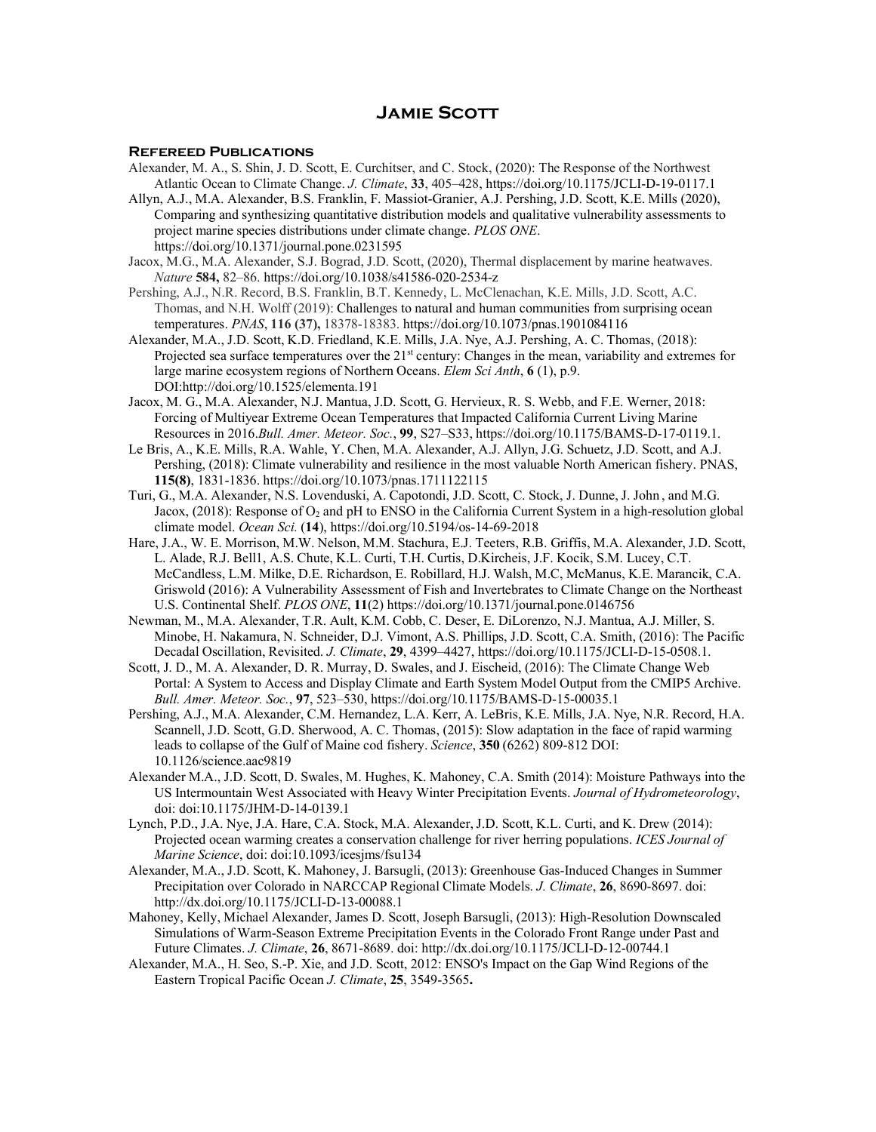## **Jamie Scott**

## **Refereed Publications**

- Alexander, M. A., S. Shin, J. D. Scott, E. Curchitser, and C. Stock, (2020): The Response of the Northwest Atlantic Ocean to Climate Change. *J. Climate*, **33**, 405–428, https://doi.org/10.1175/JCLI-D-19-0117.1
- Allyn, A.J., M.A. Alexander, B.S. Franklin, F. Massiot-Granier, A.J. Pershing, J.D. Scott, K.E. Mills (2020), Comparing and synthesizing quantitative distribution models and qualitative vulnerability assessments to project marine species distributions under climate change. *PLOS ONE*. https://doi.org/10.1371/journal.pone.0231595
- Jacox, M.G., M.A. Alexander, S.J. Bograd, J.D. Scott, (2020), Thermal displacement by marine heatwaves. *Nature* **584,** 82–86. https://doi.org/10.1038/s41586-020-2534-z
- Pershing, A.J., N.R. Record, B.S. Franklin, B.T. Kennedy, L. McClenachan, K.E. Mills, J.D. Scott, A.C. Thomas, and N.H. Wolff (2019): Challenges to natural and human communities from surprising ocean temperatures. *PNAS*, **116 (37),** 18378-18383. https://doi.org/10.1073/pnas.1901084116
- Alexander, M.A., J.D. Scott, K.D. Friedland, K.E. Mills, J.A. Nye, A.J. Pershing, A. C. Thomas, (2018): Projected sea surface temperatures over the  $21<sup>st</sup>$  century: Changes in the mean, variability and extremes for large marine ecosystem regions of Northern Oceans. *Elem Sci Anth*, **6** (1), p.9. DOI:http://doi.org/10.1525/elementa.191
- Jacox, M. G., M.A. Alexander, N.J. Mantua, J.D. Scott, G. Hervieux, R. S. Webb, and F.E. Werner, 2018: Forcing of Multiyear Extreme Ocean Temperatures that Impacted California Current Living Marine Resources in 2016.*Bull. Amer. Meteor. Soc.*, **99**, S27–S33, https://doi.org/10.1175/BAMS-D-17-0119.1.
- Le Bris, A., K.E. Mills, R.A. Wahle, Y. Chen, M.A. Alexander, A.J. Allyn, J.G. Schuetz, J.D. Scott, and A.J. Pershing, (2018): Climate vulnerability and resilience in the most valuable North American fishery. PNAS, **115(8)**, 1831-1836. https://doi.org/10.1073/pnas.1711122115
- Turi, G., M.A. Alexander, N.S. Lovenduski, A. Capotondi, J.D. Scott, C. Stock, J. Dunne, J. John , and M.G. Jacox, (2018): Response of O<sub>2</sub> and pH to ENSO in the California Current System in a high-resolution global climate model. *Ocean Sci.* (**14**), https://doi.org/10.5194/os-14-69-2018
- Hare, J.A., W. E. Morrison, M.W. Nelson, M.M. Stachura, E.J. Teeters, R.B. Griffis, M.A. Alexander, J.D. Scott, L. Alade, R.J. Bell1, A.S. Chute, K.L. Curti, T.H. Curtis, D.Kircheis, J.F. Kocik, S.M. Lucey, C.T. McCandless, L.M. Milke, D.E. Richardson, E. Robillard, H.J. Walsh, M.C, McManus, K.E. Marancik, C.A. Griswold (2016): A Vulnerability Assessment of Fish and Invertebrates to Climate Change on the Northeast U.S. Continental Shelf. *PLOS ONE*, **11**(2) https://doi.org/10.1371/journal.pone.0146756
- Newman, M., M.A. Alexander, T.R. Ault, K.M. Cobb, C. Deser, E. DiLorenzo, N.J. Mantua, A.J. Miller, S. Minobe, H. Nakamura, N. Schneider, D.J. Vimont, A.S. Phillips, J.D. Scott, C.A. Smith, (2016): The Pacific Decadal Oscillation, Revisited. *J. Climate*, **29**, 4399–4427, https://doi.org/10.1175/JCLI-D-15-0508.1.
- Scott, J. D., M. A. Alexander, D. R. Murray, D. Swales, and J. Eischeid, (2016): The Climate Change Web Portal: A System to Access and Display Climate and Earth System Model Output from the CMIP5 Archive. *Bull. Amer. Meteor. Soc.*, **97**, 523–530, https://doi.org/10.1175/BAMS-D-15-00035.1
- Pershing, A.J., M.A. Alexander, C.M. Hernandez, L.A. Kerr, A. LeBris, K.E. Mills, J.A. Nye, N.R. Record, H.A. Scannell, J.D. Scott, G.D. Sherwood, A. C. Thomas, (2015): Slow adaptation in the face of rapid warming leads to collapse of the Gulf of Maine cod fishery. *Science*, **350** (6262) 809-812 DOI: 10.1126/science.aac9819
- Alexander M.A., J.D. Scott, D. Swales, M. Hughes, K. Mahoney, C.A. Smith (2014): Moisture Pathways into the US Intermountain West Associated with Heavy Winter Precipitation Events. *Journal of Hydrometeorology*, doi: doi:10.1175/JHM-D-14-0139.1
- Lynch, P.D., J.A. Nye, J.A. Hare, C.A. Stock, M.A. Alexander, J.D. Scott, K.L. Curti, and K. Drew (2014): Projected ocean warming creates a conservation challenge for river herring populations. *ICES Journal of Marine Science*, doi: doi:10.1093/icesjms/fsu134
- Alexander, M.A., J.D. Scott, K. Mahoney, J. Barsugli, (2013): Greenhouse Gas-Induced Changes in Summer Precipitation over Colorado in NARCCAP Regional Climate Models. *J. Climate*, **26**, 8690-8697. doi: http://dx.doi.org/10.1175/JCLI-D-13-00088.1
- Mahoney, Kelly, Michael Alexander, James D. Scott, Joseph Barsugli, (2013): High-Resolution Downscaled Simulations of Warm-Season Extreme Precipitation Events in the Colorado Front Range under Past and Future Climates. *J. Climate*, **26**, 8671-8689. doi: http://dx.doi.org/10.1175/JCLI-D-12-00744.1
- Alexander, M.A., H. Seo, S.-P. Xie, and J.D. Scott, 2012: ENSO's Impact on the Gap Wind Regions of the Eastern Tropical Pacific Ocean *J. Climate*, **25**, 3549-3565**.**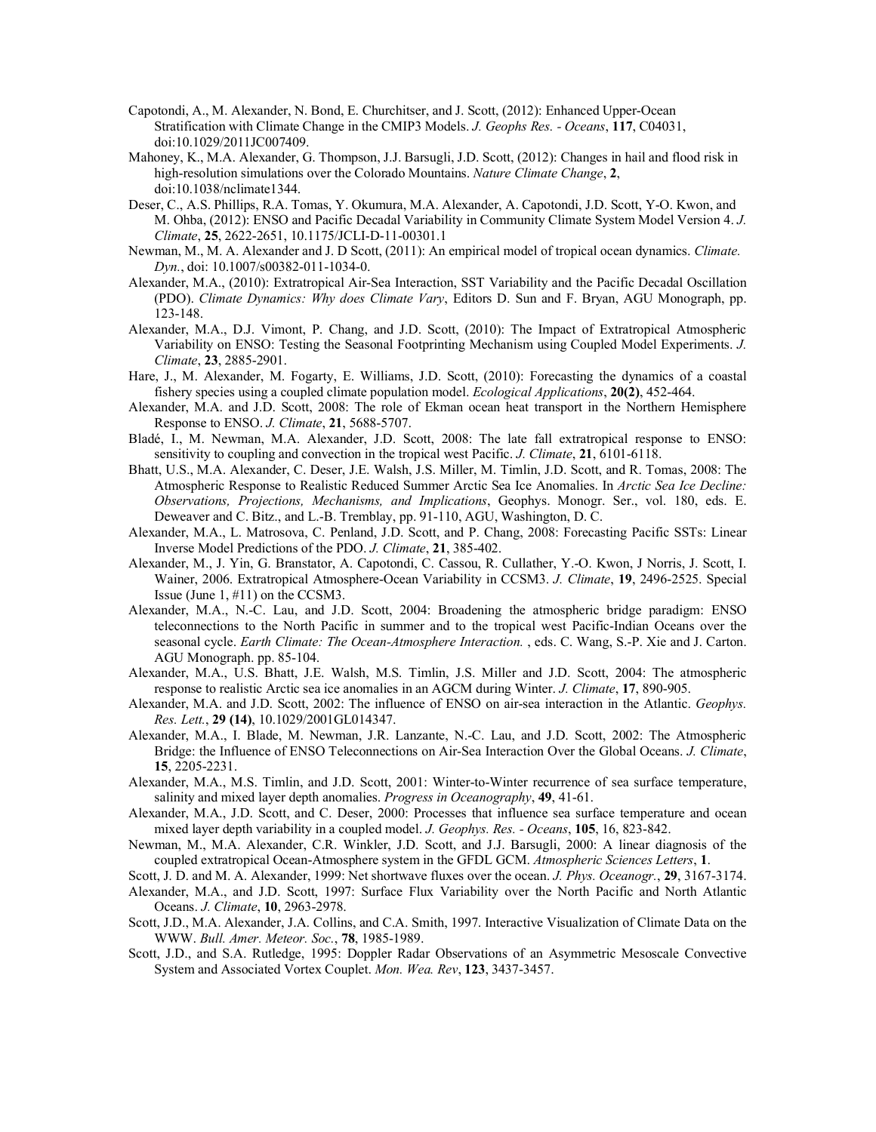- Capotondi, A., M. Alexander, N. Bond, E. Churchitser, and J. Scott, (2012): Enhanced Upper-Ocean Stratification with Climate Change in the CMIP3 Models. *J. Geophs Res. - Oceans*, **117**, C04031, doi:10.1029/2011JC007409.
- Mahoney, K., M.A. Alexander, G. Thompson, J.J. Barsugli, J.D. Scott, (2012): Changes in hail and flood risk in high-resolution simulations over the Colorado Mountains. *Nature Climate Change*, **2**, doi:10.1038/nclimate1344.
- Deser, C., A.S. Phillips, R.A. Tomas, Y. Okumura, M.A. Alexander, A. Capotondi, J.D. Scott, Y-O. Kwon, and M. Ohba, (2012): ENSO and Pacific Decadal Variability in Community Climate System Model Version 4. *J. Climate*, **25**, 2622-2651, 10.1175/JCLI-D-11-00301.1
- Newman, M., M. A. Alexander and J. D Scott, (2011): An empirical model of tropical ocean dynamics. *Climate. Dyn.*, doi: 10.1007/s00382-011-1034-0.
- Alexander, M.A., (2010): Extratropical Air-Sea Interaction, SST Variability and the Pacific Decadal Oscillation (PDO). *Climate Dynamics: Why does Climate Vary*, Editors D. Sun and F. Bryan, AGU Monograph, pp. 123-148.
- Alexander, M.A., D.J. Vimont, P. Chang, and J.D. Scott, (2010): The Impact of Extratropical Atmospheric Variability on ENSO: Testing the Seasonal Footprinting Mechanism using Coupled Model Experiments. *J. Climate*, **23**, 2885-2901.
- Hare, J., M. Alexander, M. Fogarty, E. Williams, J.D. Scott, (2010): Forecasting the dynamics of a coastal fishery species using a coupled climate population model. *Ecological Applications*, **20(2)**, 452-464.
- Alexander, M.A. and J.D. Scott, 2008: The role of Ekman ocean heat transport in the Northern Hemisphere Response to ENSO. *J. Climate*, **21**, 5688-5707.
- Bladé, I., M. Newman, M.A. Alexander, J.D. Scott, 2008: The late fall extratropical response to ENSO: sensitivity to coupling and convection in the tropical west Pacific. *J. Climate*, **21**, 6101-6118.
- Bhatt, U.S., M.A. Alexander, C. Deser, J.E. Walsh, J.S. Miller, M. Timlin, J.D. Scott, and R. Tomas, 2008: The Atmospheric Response to Realistic Reduced Summer Arctic Sea Ice Anomalies. In *Arctic Sea Ice Decline: Observations, Projections, Mechanisms, and Implications*, Geophys. Monogr. Ser., vol. 180, eds. E. Deweaver and C. Bitz., and L.-B. Tremblay, pp. 91-110, AGU, Washington, D. C.
- Alexander, M.A., L. Matrosova, C. Penland, J.D. Scott, and P. Chang, 2008: Forecasting Pacific SSTs: Linear Inverse Model Predictions of the PDO. *J. Climate*, **21**, 385-402.
- Alexander, M., J. Yin, G. Branstator, A. Capotondi, C. Cassou, R. Cullather, Y.-O. Kwon, J Norris, J. Scott, I. Wainer, 2006. Extratropical Atmosphere-Ocean Variability in CCSM3. *J. Climate*, **19**, 2496-2525. Special Issue (June 1, #11) on the CCSM3.
- Alexander, M.A., N.-C. Lau, and J.D. Scott, 2004: Broadening the atmospheric bridge paradigm: ENSO teleconnections to the North Pacific in summer and to the tropical west Pacific-Indian Oceans over the seasonal cycle. *Earth Climate: The Ocean-Atmosphere Interaction.* , eds. C. Wang, S.-P. Xie and J. Carton. AGU Monograph. pp. 85-104.
- Alexander, M.A., U.S. Bhatt, J.E. Walsh, M.S. Timlin, J.S. Miller and J.D. Scott, 2004: The atmospheric response to realistic Arctic sea ice anomalies in an AGCM during Winter. *J. Climate*, **17**, 890-905.
- Alexander, M.A. and J.D. Scott, 2002: The influence of ENSO on air-sea interaction in the Atlantic. *Geophys. Res. Lett.*, **29 (14)**, 10.1029/2001GL014347.
- Alexander, M.A., I. Blade, M. Newman, J.R. Lanzante, N.-C. Lau, and J.D. Scott, 2002: The Atmospheric Bridge: the Influence of ENSO Teleconnections on Air-Sea Interaction Over the Global Oceans. *J. Climate*, **15**, 2205-2231.
- Alexander, M.A., M.S. Timlin, and J.D. Scott, 2001: Winter-to-Winter recurrence of sea surface temperature, salinity and mixed layer depth anomalies. *Progress in Oceanography*, **49**, 41-61.
- Alexander, M.A., J.D. Scott, and C. Deser, 2000: Processes that influence sea surface temperature and ocean mixed layer depth variability in a coupled model. *J. Geophys. Res. - Oceans*, **105**, 16, 823-842.
- Newman, M., M.A. Alexander, C.R. Winkler, J.D. Scott, and J.J. Barsugli, 2000: A linear diagnosis of the coupled extratropical Ocean-Atmosphere system in the GFDL GCM. *Atmospheric Sciences Letters*, **1**.
- Scott, J. D. and M. A. Alexander, 1999: Net shortwave fluxes over the ocean. *J. Phys. Oceanogr.*, **29**, 3167-3174.
- Alexander, M.A., and J.D. Scott, 1997: Surface Flux Variability over the North Pacific and North Atlantic Oceans. *J. Climate*, **10**, 2963-2978.
- Scott, J.D., M.A. Alexander, J.A. Collins, and C.A. Smith, 1997. Interactive Visualization of Climate Data on the WWW. *Bull. Amer. Meteor. Soc.*, **78**, 1985-1989.
- Scott, J.D., and S.A. Rutledge, 1995: Doppler Radar Observations of an Asymmetric Mesoscale Convective System and Associated Vortex Couplet. *Mon. Wea. Rev*, **123**, 3437-3457.